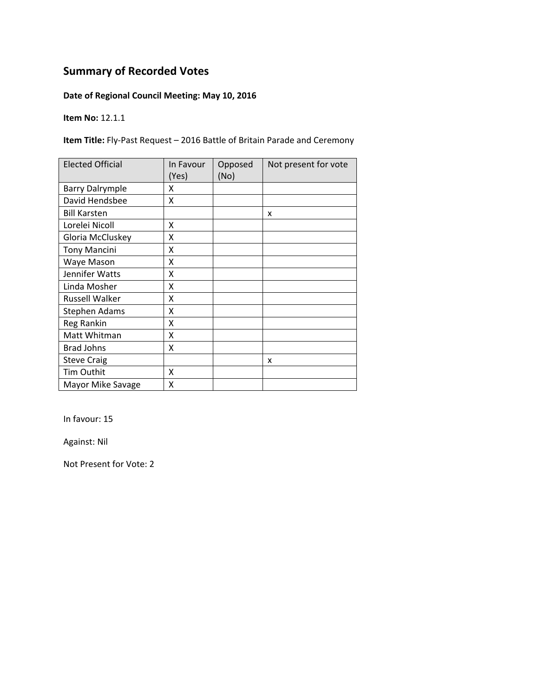### **Date of Regional Council Meeting: May 10, 2016**

**Item No:** 12.1.1

**Item Title:** Fly‐Past Request – 2016 Battle of Britain Parade and Ceremony

| <b>Elected Official</b> | In Favour<br>(Yes) | Opposed<br>(No) | Not present for vote |
|-------------------------|--------------------|-----------------|----------------------|
| <b>Barry Dalrymple</b>  | x                  |                 |                      |
| David Hendsbee          | Χ                  |                 |                      |
| <b>Bill Karsten</b>     |                    |                 | x                    |
| Lorelei Nicoll          | x                  |                 |                      |
| Gloria McCluskey        | Χ                  |                 |                      |
| <b>Tony Mancini</b>     | Χ                  |                 |                      |
| Waye Mason              | X                  |                 |                      |
| Jennifer Watts          | X                  |                 |                      |
| Linda Mosher            | X                  |                 |                      |
| <b>Russell Walker</b>   | X                  |                 |                      |
| <b>Stephen Adams</b>    | X                  |                 |                      |
| Reg Rankin              | X                  |                 |                      |
| Matt Whitman            | X                  |                 |                      |
| <b>Brad Johns</b>       | X                  |                 |                      |
| <b>Steve Craig</b>      |                    |                 | X                    |
| Tim Outhit              | x                  |                 |                      |
| Mayor Mike Savage       | Χ                  |                 |                      |

In favour: 15

Against: Nil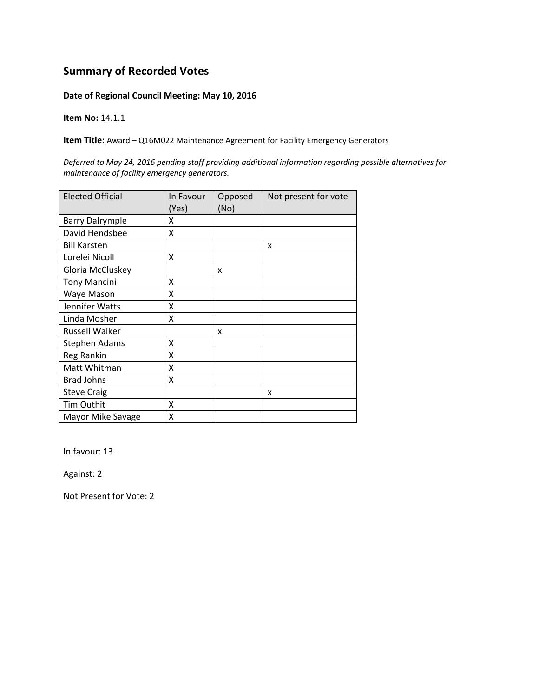#### **Date of Regional Council Meeting: May 10, 2016**

**Item No:** 14.1.1

**Item Title:** Award – Q16M022 Maintenance Agreement for Facility Emergency Generators

*Deferred to May 24, 2016 pending staff providing additional information regarding possible alternatives for maintenance of facility emergency generators.*

| <b>Elected Official</b> | In Favour<br>(Yes) | Opposed<br>(No) | Not present for vote |
|-------------------------|--------------------|-----------------|----------------------|
| <b>Barry Dalrymple</b>  | x                  |                 |                      |
| David Hendsbee          | X                  |                 |                      |
| <b>Bill Karsten</b>     |                    |                 | X                    |
| Lorelei Nicoll          | x                  |                 |                      |
| Gloria McCluskey        |                    | x               |                      |
| <b>Tony Mancini</b>     | X                  |                 |                      |
| Waye Mason              | x                  |                 |                      |
| Jennifer Watts          | X                  |                 |                      |
| Linda Mosher            | X                  |                 |                      |
| <b>Russell Walker</b>   |                    | x               |                      |
| <b>Stephen Adams</b>    | X                  |                 |                      |
| Reg Rankin              | X                  |                 |                      |
| Matt Whitman            | X                  |                 |                      |
| <b>Brad Johns</b>       | x                  |                 |                      |
| <b>Steve Craig</b>      |                    |                 | X                    |
| Tim Outhit              | X                  |                 |                      |
| Mayor Mike Savage       | X                  |                 |                      |

In favour: 13

Against: 2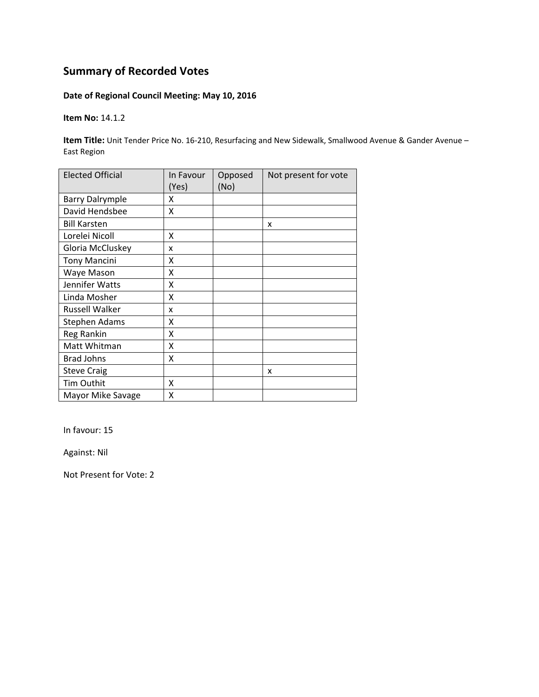### **Date of Regional Council Meeting: May 10, 2016**

**Item No:** 14.1.2

**Item Title:** Unit Tender Price No. 16‐210, Resurfacing and New Sidewalk, Smallwood Avenue & Gander Avenue – East Region

| <b>Elected Official</b> | In Favour<br>(Yes) | Opposed<br>(No) | Not present for vote |
|-------------------------|--------------------|-----------------|----------------------|
| <b>Barry Dalrymple</b>  | x                  |                 |                      |
| David Hendsbee          | X                  |                 |                      |
| <b>Bill Karsten</b>     |                    |                 | X                    |
| Lorelei Nicoll          | X                  |                 |                      |
| Gloria McCluskey        | x                  |                 |                      |
| <b>Tony Mancini</b>     | X                  |                 |                      |
| Waye Mason              | X                  |                 |                      |
| Jennifer Watts          | X                  |                 |                      |
| Linda Mosher            | X                  |                 |                      |
| Russell Walker          | x                  |                 |                      |
| <b>Stephen Adams</b>    | χ                  |                 |                      |
| Reg Rankin              | Χ                  |                 |                      |
| Matt Whitman            | Χ                  |                 |                      |
| <b>Brad Johns</b>       | Χ                  |                 |                      |
| <b>Steve Craig</b>      |                    |                 | x                    |
| Tim Outhit              | X                  |                 |                      |
| Mayor Mike Savage       | Χ                  |                 |                      |

In favour: 15

Against: Nil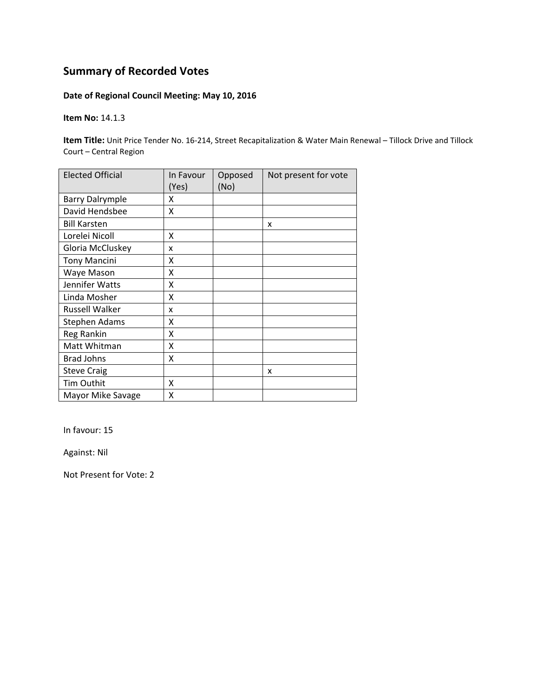### **Date of Regional Council Meeting: May 10, 2016**

**Item No:** 14.1.3

**Item Title:** Unit Price Tender No. 16‐214, Street Recapitalization & Water Main Renewal – Tillock Drive and Tillock Court – Central Region

| <b>Elected Official</b> | In Favour<br>(Yes) | Opposed<br>(No) | Not present for vote |
|-------------------------|--------------------|-----------------|----------------------|
| <b>Barry Dalrymple</b>  | Χ                  |                 |                      |
| David Hendsbee          | Χ                  |                 |                      |
| <b>Bill Karsten</b>     |                    |                 | x                    |
| Lorelei Nicoll          | Χ                  |                 |                      |
| Gloria McCluskey        | x                  |                 |                      |
| <b>Tony Mancini</b>     | x                  |                 |                      |
| Waye Mason              | X                  |                 |                      |
| Jennifer Watts          | X                  |                 |                      |
| Linda Mosher            | Χ                  |                 |                      |
| <b>Russell Walker</b>   | x                  |                 |                      |
| <b>Stephen Adams</b>    | Χ                  |                 |                      |
| Reg Rankin              | Χ                  |                 |                      |
| Matt Whitman            | Χ                  |                 |                      |
| <b>Brad Johns</b>       | Χ                  |                 |                      |
| <b>Steve Craig</b>      |                    |                 | x                    |
| Tim Outhit              | x                  |                 |                      |
| Mayor Mike Savage       | Χ                  |                 |                      |

In favour: 15

Against: Nil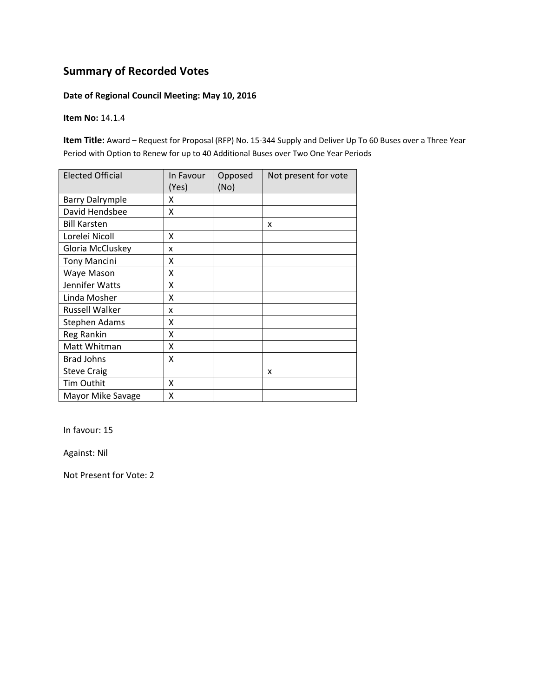### **Date of Regional Council Meeting: May 10, 2016**

**Item No:** 14.1.4

**Item Title:** Award – Request for Proposal (RFP) No. 15‐344 Supply and Deliver Up To 60 Buses over a Three Year Period with Option to Renew for up to 40 Additional Buses over Two One Year Periods

| <b>Elected Official</b> | In Favour<br>(Yes) | Opposed<br>(No) | Not present for vote |
|-------------------------|--------------------|-----------------|----------------------|
| <b>Barry Dalrymple</b>  | x                  |                 |                      |
| David Hendsbee          | Χ                  |                 |                      |
| <b>Bill Karsten</b>     |                    |                 | X                    |
| Lorelei Nicoll          | x                  |                 |                      |
| Gloria McCluskey        | x                  |                 |                      |
| <b>Tony Mancini</b>     | x                  |                 |                      |
| Waye Mason              | Χ                  |                 |                      |
| Jennifer Watts          | X                  |                 |                      |
| Linda Mosher            | Χ                  |                 |                      |
| <b>Russell Walker</b>   | x                  |                 |                      |
| <b>Stephen Adams</b>    | χ                  |                 |                      |
| Reg Rankin              | Χ                  |                 |                      |
| Matt Whitman            | Χ                  |                 |                      |
| <b>Brad Johns</b>       | Χ                  |                 |                      |
| <b>Steve Craig</b>      |                    |                 | X                    |
| Tim Outhit              | X                  |                 |                      |
| Mayor Mike Savage       | Χ                  |                 |                      |

In favour: 15

Against: Nil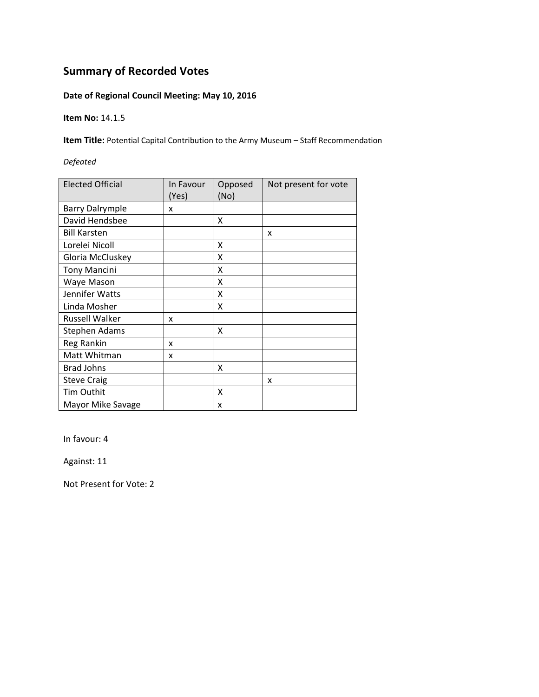### **Date of Regional Council Meeting: May 10, 2016**

**Item No:** 14.1.5

**Item Title:** Potential Capital Contribution to the Army Museum – Staff Recommendation

*Defeated*

| <b>Elected Official</b> | In Favour<br>(Yes) | Opposed<br>(No) | Not present for vote |
|-------------------------|--------------------|-----------------|----------------------|
| <b>Barry Dalrymple</b>  | x                  |                 |                      |
| David Hendsbee          |                    | X               |                      |
| <b>Bill Karsten</b>     |                    |                 | X                    |
| Lorelei Nicoll          |                    | X               |                      |
| Gloria McCluskey        |                    | Χ               |                      |
| <b>Tony Mancini</b>     |                    | x               |                      |
| Waye Mason              |                    | x               |                      |
| Jennifer Watts          |                    | X               |                      |
| Linda Mosher            |                    | x               |                      |
| Russell Walker          | x                  |                 |                      |
| Stephen Adams           |                    | x               |                      |
| Reg Rankin              | x                  |                 |                      |
| Matt Whitman            | x                  |                 |                      |
| <b>Brad Johns</b>       |                    | x               |                      |
| <b>Steve Craig</b>      |                    |                 | x                    |
| Tim Outhit              |                    | X               |                      |
| Mayor Mike Savage       |                    | x               |                      |

In favour: 4

Against: 11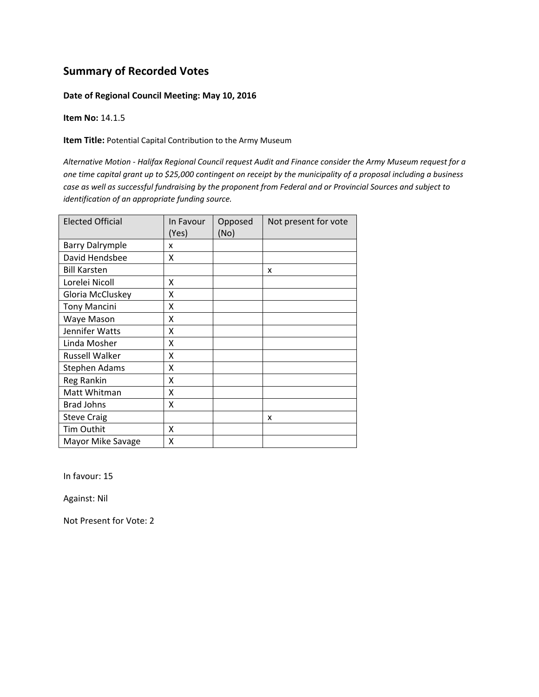#### **Date of Regional Council Meeting: May 10, 2016**

**Item No:** 14.1.5

**Item Title:** Potential Capital Contribution to the Army Museum

Alternative Motion - Halifax Regional Council request Audit and Finance consider the Army Museum request for a one time capital grant up to \$25,000 contingent on receipt by the municipality of a proposal including a business case as well as successful fundraising by the proponent from Federal and or Provincial Sources and subject to *identification of an appropriate funding source.*

| <b>Elected Official</b> | In Favour<br>(Yes) | Opposed<br>(No) | Not present for vote |
|-------------------------|--------------------|-----------------|----------------------|
| <b>Barry Dalrymple</b>  | x                  |                 |                      |
| David Hendsbee          | X                  |                 |                      |
| <b>Bill Karsten</b>     |                    |                 | x                    |
| Lorelei Nicoll          | Χ                  |                 |                      |
| Gloria McCluskey        | x                  |                 |                      |
| <b>Tony Mancini</b>     | Χ                  |                 |                      |
| Waye Mason              | X                  |                 |                      |
| Jennifer Watts          | X                  |                 |                      |
| Linda Mosher            | Χ                  |                 |                      |
| <b>Russell Walker</b>   | X                  |                 |                      |
| <b>Stephen Adams</b>    | X                  |                 |                      |
| Reg Rankin              | x                  |                 |                      |
| Matt Whitman            | X                  |                 |                      |
| <b>Brad Johns</b>       | X                  |                 |                      |
| <b>Steve Craig</b>      |                    |                 | x                    |
| Tim Outhit              | X                  |                 |                      |
| Mayor Mike Savage       | x                  |                 |                      |

In favour: 15

Against: Nil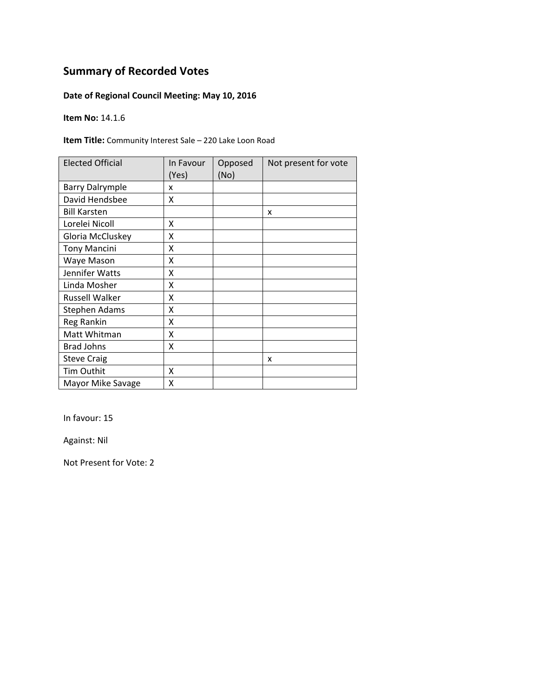### **Date of Regional Council Meeting: May 10, 2016**

**Item No:** 14.1.6

**Item Title:** Community Interest Sale – 220 Lake Loon Road

| <b>Elected Official</b> | In Favour<br>(Yes) | Opposed<br>(No) | Not present for vote |
|-------------------------|--------------------|-----------------|----------------------|
| <b>Barry Dalrymple</b>  | x                  |                 |                      |
| David Hendsbee          | X                  |                 |                      |
| <b>Bill Karsten</b>     |                    |                 | X                    |
| Lorelei Nicoll          | X                  |                 |                      |
| Gloria McCluskey        | Χ                  |                 |                      |
| <b>Tony Mancini</b>     | Χ                  |                 |                      |
| Waye Mason              | Χ                  |                 |                      |
| Jennifer Watts          | Χ                  |                 |                      |
| Linda Mosher            | Χ                  |                 |                      |
| <b>Russell Walker</b>   | x                  |                 |                      |
| <b>Stephen Adams</b>    | Χ                  |                 |                      |
| Reg Rankin              | X                  |                 |                      |
| Matt Whitman            | Χ                  |                 |                      |
| <b>Brad Johns</b>       | X                  |                 |                      |
| <b>Steve Craig</b>      |                    |                 | x                    |
| <b>Tim Outhit</b>       | X                  |                 |                      |
| Mayor Mike Savage       | Χ                  |                 |                      |

In favour: 15

Against: Nil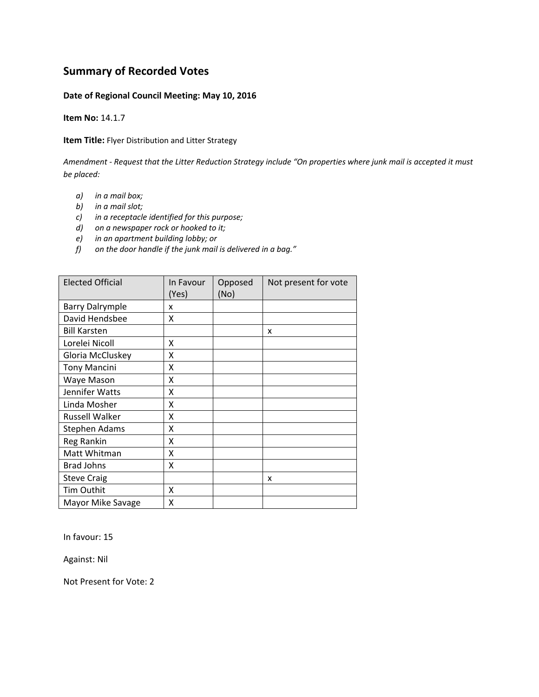#### **Date of Regional Council Meeting: May 10, 2016**

**Item No:** 14.1.7

**Item Title:** Flyer Distribution and Litter Strategy

Amendment - Request that the Litter Reduction Strategy include "On properties where junk mail is accepted it must *be placed:*

- *a) in a mail box;*
- *b) in a mail slot;*
- *c) in a receptacle identified for this purpose;*
- *d) on a newspaper rock or hooked to it;*
- *e) in an apartment building lobby; or*
- *f) on the door handle if the junk mail is delivered in a bag."*

| <b>Elected Official</b> | In Favour<br>(Yes) | Opposed<br>(No) | Not present for vote |
|-------------------------|--------------------|-----------------|----------------------|
| <b>Barry Dalrymple</b>  | x                  |                 |                      |
| David Hendsbee          | x                  |                 |                      |
| <b>Bill Karsten</b>     |                    |                 | x                    |
| Lorelei Nicoll          | x                  |                 |                      |
| Gloria McCluskey        | X                  |                 |                      |
| <b>Tony Mancini</b>     | X                  |                 |                      |
| Waye Mason              | X                  |                 |                      |
| Jennifer Watts          | X                  |                 |                      |
| Linda Mosher            | X                  |                 |                      |
| <b>Russell Walker</b>   | x                  |                 |                      |
| Stephen Adams           | x                  |                 |                      |
| Reg Rankin              | x                  |                 |                      |
| Matt Whitman            | X                  |                 |                      |
| <b>Brad Johns</b>       | X                  |                 |                      |
| <b>Steve Craig</b>      |                    |                 | x                    |
| Tim Outhit              | x                  |                 |                      |
| Mayor Mike Savage       | x                  |                 |                      |

In favour: 15

Against: Nil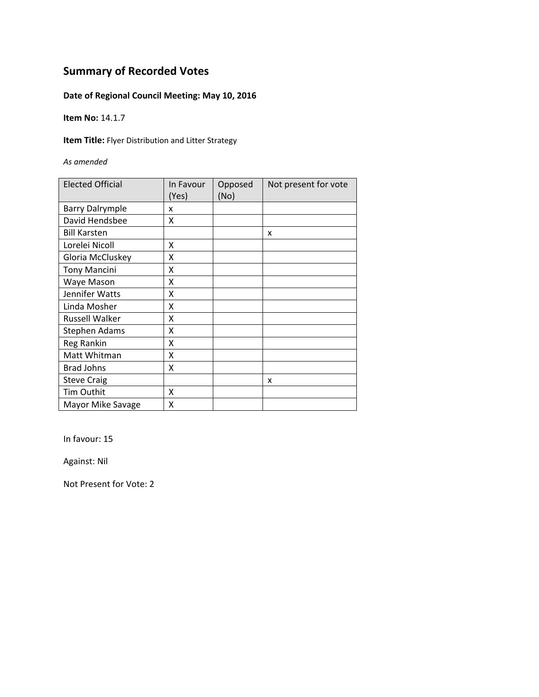### **Date of Regional Council Meeting: May 10, 2016**

**Item No:** 14.1.7

**Item Title:** Flyer Distribution and Litter Strategy

*As amended*

| <b>Elected Official</b> | In Favour<br>(Yes) | Opposed<br>(No) | Not present for vote |
|-------------------------|--------------------|-----------------|----------------------|
| <b>Barry Dalrymple</b>  | x                  |                 |                      |
| David Hendsbee          | x                  |                 |                      |
| <b>Bill Karsten</b>     |                    |                 | x                    |
| Lorelei Nicoll          | Χ                  |                 |                      |
| Gloria McCluskey        | Χ                  |                 |                      |
| <b>Tony Mancini</b>     | Χ                  |                 |                      |
| Waye Mason              | Χ                  |                 |                      |
| Jennifer Watts          | x                  |                 |                      |
| Linda Mosher            | x                  |                 |                      |
| Russell Walker          | X                  |                 |                      |
| Stephen Adams           | X                  |                 |                      |
| Reg Rankin              | X                  |                 |                      |
| Matt Whitman            | X                  |                 |                      |
| <b>Brad Johns</b>       | X                  |                 |                      |
| <b>Steve Craig</b>      |                    |                 | x                    |
| Tim Outhit              | x                  |                 |                      |
| Mayor Mike Savage       | Χ                  |                 |                      |

In favour: 15

Against: Nil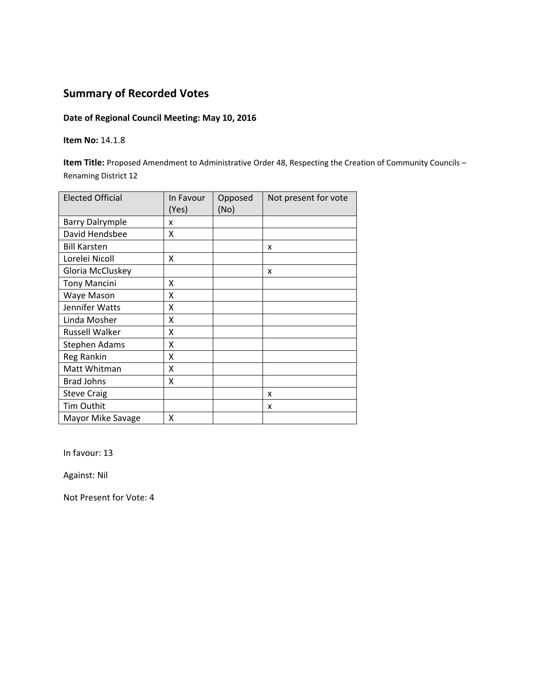### **Date of Regional Council Meeting: May 10, 2016**

#### **Item No:** 14.1.8

**Item Title:** Proposed Amendment to Administrative Order 48, Respecting the Creation of Community Councils – Renaming District 12

| <b>Elected Official</b> | In Favour<br>(Yes) | Opposed<br>(No) | Not present for vote |
|-------------------------|--------------------|-----------------|----------------------|
| <b>Barry Dalrymple</b>  | x                  |                 |                      |
| David Hendsbee          | X                  |                 |                      |
| <b>Bill Karsten</b>     |                    |                 | X                    |
| Lorelei Nicoll          | Χ                  |                 |                      |
| Gloria McCluskey        |                    |                 | x                    |
| <b>Tony Mancini</b>     | x                  |                 |                      |
| Waye Mason              | x                  |                 |                      |
| Jennifer Watts          | X                  |                 |                      |
| Linda Mosher            | X                  |                 |                      |
| <b>Russell Walker</b>   | X                  |                 |                      |
| <b>Stephen Adams</b>    | X                  |                 |                      |
| Reg Rankin              | X                  |                 |                      |
| Matt Whitman            | X                  |                 |                      |
| <b>Brad Johns</b>       | X                  |                 |                      |
| <b>Steve Craig</b>      |                    |                 | x                    |
| <b>Tim Outhit</b>       |                    |                 | x                    |
| Mayor Mike Savage       | x                  |                 |                      |

In favour: 13

Against: Nil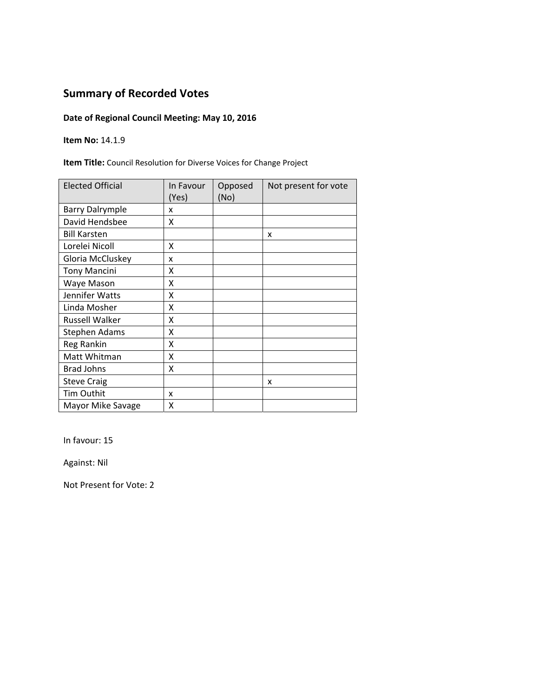## **Date of Regional Council Meeting: May 10, 2016**

**Item No:** 14.1.9

**Item Title:** Council Resolution for Diverse Voices for Change Project

| <b>Elected Official</b> | In Favour<br>(Yes) | Opposed<br>(No) | Not present for vote |
|-------------------------|--------------------|-----------------|----------------------|
| <b>Barry Dalrymple</b>  | x                  |                 |                      |
| David Hendsbee          | x                  |                 |                      |
| <b>Bill Karsten</b>     |                    |                 | X                    |
| Lorelei Nicoll          | x                  |                 |                      |
| Gloria McCluskey        | x                  |                 |                      |
| <b>Tony Mancini</b>     | x                  |                 |                      |
| Waye Mason              | Χ                  |                 |                      |
| Jennifer Watts          | Χ                  |                 |                      |
| Linda Mosher            | X                  |                 |                      |
| <b>Russell Walker</b>   | x                  |                 |                      |
| Stephen Adams           | X                  |                 |                      |
| <b>Reg Rankin</b>       | X                  |                 |                      |
| Matt Whitman            | X                  |                 |                      |
| <b>Brad Johns</b>       | Χ                  |                 |                      |
| <b>Steve Craig</b>      |                    |                 | x                    |
| Tim Outhit              | x                  |                 |                      |
| Mayor Mike Savage       | Χ                  |                 |                      |

In favour: 15

Against: Nil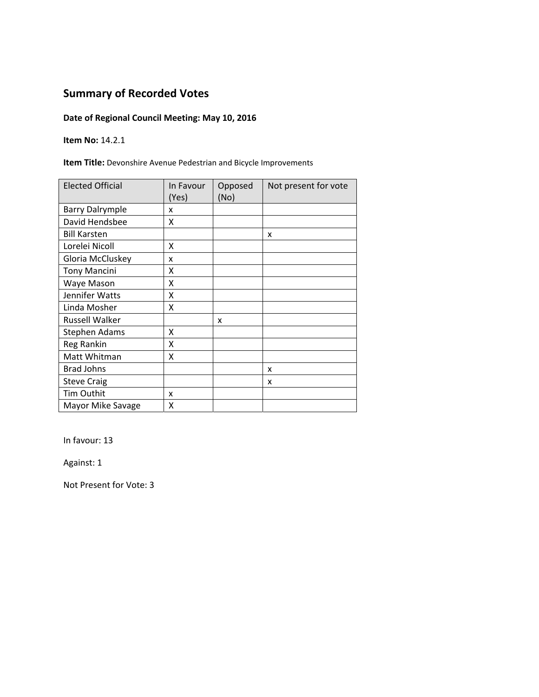## **Date of Regional Council Meeting: May 10, 2016**

**Item No:** 14.2.1

**Item Title:** Devonshire Avenue Pedestrian and Bicycle Improvements

| <b>Elected Official</b> | In Favour<br>(Yes) | Opposed<br>(No) | Not present for vote |
|-------------------------|--------------------|-----------------|----------------------|
| <b>Barry Dalrymple</b>  | x                  |                 |                      |
| David Hendsbee          | X                  |                 |                      |
| <b>Bill Karsten</b>     |                    |                 | X                    |
| Lorelei Nicoll          | x                  |                 |                      |
| Gloria McCluskey        | x                  |                 |                      |
| <b>Tony Mancini</b>     | x                  |                 |                      |
| Waye Mason              | Χ                  |                 |                      |
| Jennifer Watts          | Χ                  |                 |                      |
| Linda Mosher            | x                  |                 |                      |
| <b>Russell Walker</b>   |                    | x               |                      |
| Stephen Adams           | x                  |                 |                      |
| Reg Rankin              | X                  |                 |                      |
| Matt Whitman            | χ                  |                 |                      |
| <b>Brad Johns</b>       |                    |                 | x                    |
| <b>Steve Craig</b>      |                    |                 | x                    |
| <b>Tim Outhit</b>       | x                  |                 |                      |
| Mayor Mike Savage       | Χ                  |                 |                      |

In favour: 13

Against: 1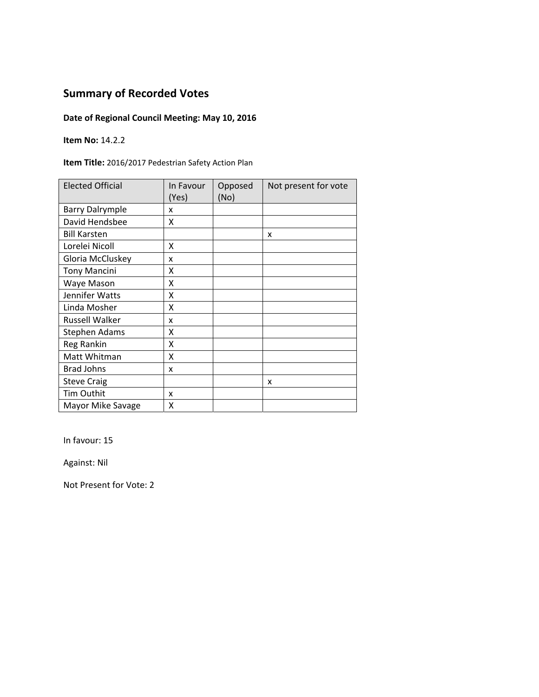## **Date of Regional Council Meeting: May 10, 2016**

**Item No:** 14.2.2

**Item Title:** 2016/2017 Pedestrian Safety Action Plan

| <b>Elected Official</b> | In Favour<br>(Yes) | Opposed<br>(No) | Not present for vote |
|-------------------------|--------------------|-----------------|----------------------|
| <b>Barry Dalrymple</b>  | x                  |                 |                      |
| David Hendsbee          | x                  |                 |                      |
| <b>Bill Karsten</b>     |                    |                 | X                    |
| Lorelei Nicoll          | x                  |                 |                      |
| Gloria McCluskey        | x                  |                 |                      |
| <b>Tony Mancini</b>     | x                  |                 |                      |
| Waye Mason              | Χ                  |                 |                      |
| Jennifer Watts          | Χ                  |                 |                      |
| Linda Mosher            | X                  |                 |                      |
| <b>Russell Walker</b>   | x                  |                 |                      |
| Stephen Adams           | x                  |                 |                      |
| <b>Reg Rankin</b>       | X                  |                 |                      |
| Matt Whitman            | X                  |                 |                      |
| <b>Brad Johns</b>       | x                  |                 |                      |
| <b>Steve Craig</b>      |                    |                 | x                    |
| Tim Outhit              | x                  |                 |                      |
| Mayor Mike Savage       | Χ                  |                 |                      |

In favour: 15

Against: Nil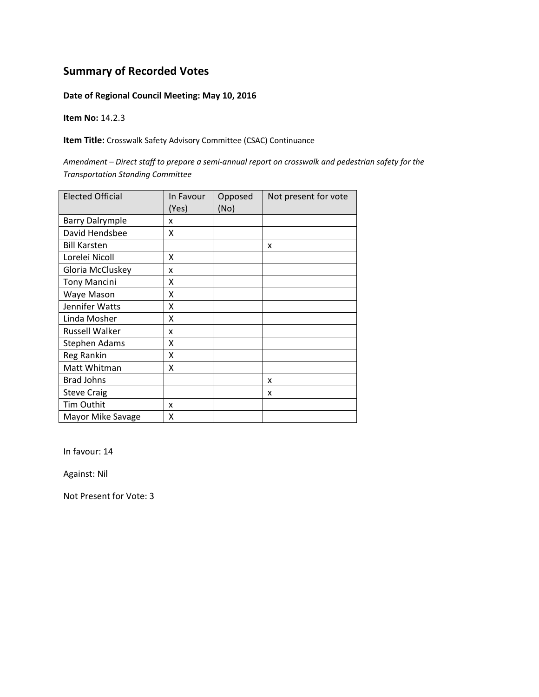### **Date of Regional Council Meeting: May 10, 2016**

**Item No:** 14.2.3

**Item Title:** Crosswalk Safety Advisory Committee (CSAC) Continuance

Amendment - Direct staff to prepare a semi-annual report on crosswalk and pedestrian safety for the *Transportation Standing Committee*

| <b>Elected Official</b> | In Favour<br>(Yes) | Opposed<br>(No) | Not present for vote |
|-------------------------|--------------------|-----------------|----------------------|
| <b>Barry Dalrymple</b>  | X                  |                 |                      |
| David Hendsbee          | X                  |                 |                      |
| <b>Bill Karsten</b>     |                    |                 | x                    |
| Lorelei Nicoll          | X                  |                 |                      |
| Gloria McCluskey        | x                  |                 |                      |
| <b>Tony Mancini</b>     | x                  |                 |                      |
| Waye Mason              | X                  |                 |                      |
| Jennifer Watts          | X                  |                 |                      |
| Linda Mosher            | X                  |                 |                      |
| <b>Russell Walker</b>   | x                  |                 |                      |
| <b>Stephen Adams</b>    | X                  |                 |                      |
| <b>Reg Rankin</b>       | X                  |                 |                      |
| Matt Whitman            | X                  |                 |                      |
| <b>Brad Johns</b>       |                    |                 | X                    |
| <b>Steve Craig</b>      |                    |                 | x                    |
| Tim Outhit              | X                  |                 |                      |
| Mayor Mike Savage       | X                  |                 |                      |

In favour: 14

Against: Nil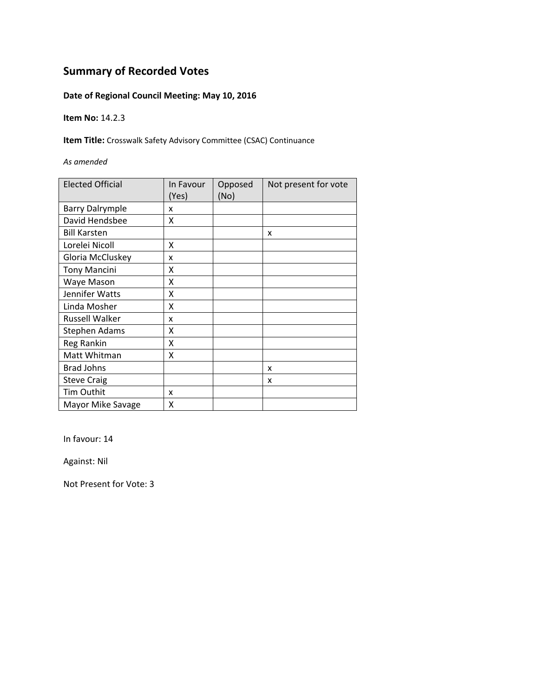### **Date of Regional Council Meeting: May 10, 2016**

**Item No:** 14.2.3

**Item Title:** Crosswalk Safety Advisory Committee (CSAC) Continuance

*As amended*

| <b>Elected Official</b> | In Favour<br>(Yes) | Opposed<br>(No) | Not present for vote |
|-------------------------|--------------------|-----------------|----------------------|
| <b>Barry Dalrymple</b>  | x                  |                 |                      |
| David Hendsbee          | X                  |                 |                      |
| <b>Bill Karsten</b>     |                    |                 | X                    |
| Lorelei Nicoll          | x                  |                 |                      |
| Gloria McCluskey        | x                  |                 |                      |
| <b>Tony Mancini</b>     | χ                  |                 |                      |
| Waye Mason              | Χ                  |                 |                      |
| Jennifer Watts          | Χ                  |                 |                      |
| Linda Mosher            | x                  |                 |                      |
| <b>Russell Walker</b>   | x                  |                 |                      |
| <b>Stephen Adams</b>    | χ                  |                 |                      |
| Reg Rankin              | X                  |                 |                      |
| Matt Whitman            | χ                  |                 |                      |
| <b>Brad Johns</b>       |                    |                 | x                    |
| <b>Steve Craig</b>      |                    |                 | x                    |
| Tim Outhit              | x                  |                 |                      |
| Mayor Mike Savage       | Χ                  |                 |                      |

In favour: 14

Against: Nil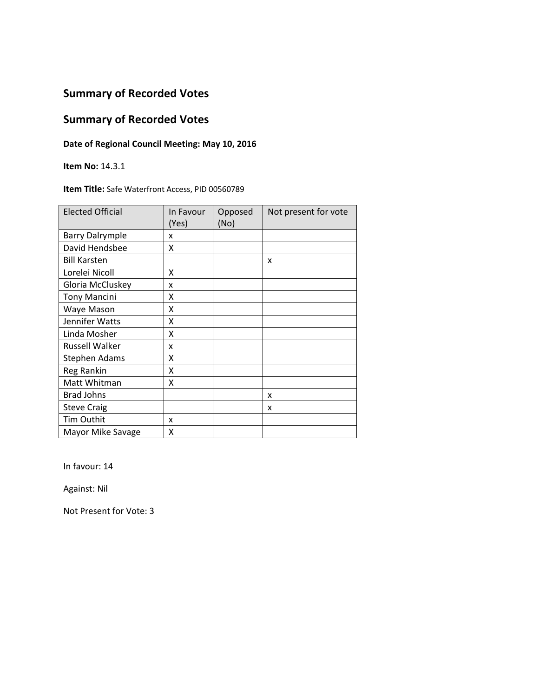## **Summary of Recorded Votes**

### **Date of Regional Council Meeting: May 10, 2016**

**Item No:** 14.3.1

#### **Item Title:** Safe Waterfront Access, PID 00560789

| <b>Elected Official</b> | In Favour<br>(Yes) | Opposed<br>(No) | Not present for vote |
|-------------------------|--------------------|-----------------|----------------------|
| <b>Barry Dalrymple</b>  | x                  |                 |                      |
| David Hendsbee          | X                  |                 |                      |
| <b>Bill Karsten</b>     |                    |                 | x                    |
| Lorelei Nicoll          | X                  |                 |                      |
| Gloria McCluskey        | x                  |                 |                      |
| <b>Tony Mancini</b>     | x                  |                 |                      |
| Waye Mason              | Χ                  |                 |                      |
| Jennifer Watts          | Χ                  |                 |                      |
| Linda Mosher            | χ                  |                 |                      |
| <b>Russell Walker</b>   | x                  |                 |                      |
| <b>Stephen Adams</b>    | χ                  |                 |                      |
| Reg Rankin              | Χ                  |                 |                      |
| Matt Whitman            | Χ                  |                 |                      |
| <b>Brad Johns</b>       |                    |                 | x                    |
| <b>Steve Craig</b>      |                    |                 | x                    |
| Tim Outhit              | x                  |                 |                      |
| Mayor Mike Savage       | Χ                  |                 |                      |

In favour: 14

Against: Nil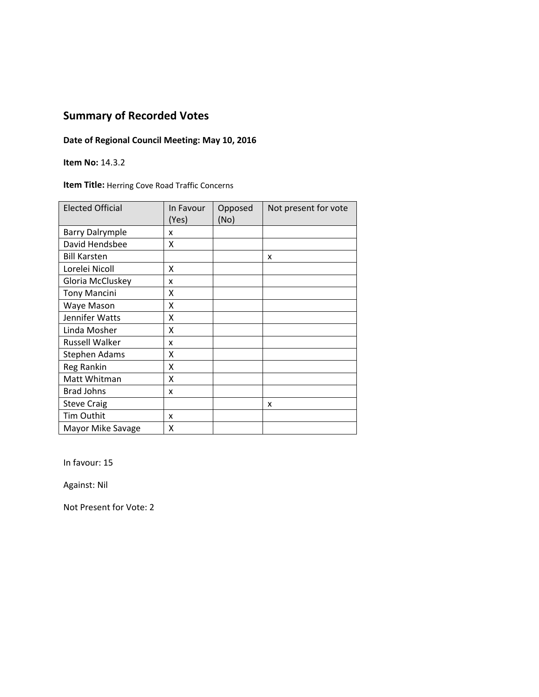### **Date of Regional Council Meeting: May 10, 2016**

**Item No:** 14.3.2

**Item Title:** Herring Cove Road Traffic Concerns

| <b>Elected Official</b> | In Favour<br>(Yes) | Opposed<br>(No) | Not present for vote |
|-------------------------|--------------------|-----------------|----------------------|
| <b>Barry Dalrymple</b>  | x                  |                 |                      |
| David Hendsbee          | X                  |                 |                      |
| <b>Bill Karsten</b>     |                    |                 | x                    |
| Lorelei Nicoll          | X                  |                 |                      |
| Gloria McCluskey        | X                  |                 |                      |
| <b>Tony Mancini</b>     | x                  |                 |                      |
| Waye Mason              | X                  |                 |                      |
| Jennifer Watts          | Χ                  |                 |                      |
| Linda Mosher            | X                  |                 |                      |
| <b>Russell Walker</b>   | x                  |                 |                      |
| Stephen Adams           | Χ                  |                 |                      |
| Reg Rankin              | Χ                  |                 |                      |
| Matt Whitman            | X                  |                 |                      |
| <b>Brad Johns</b>       | x                  |                 |                      |
| <b>Steve Craig</b>      |                    |                 | x                    |
| Tim Outhit              | x                  |                 |                      |
| Mayor Mike Savage       | x                  |                 |                      |

In favour: 15

Against: Nil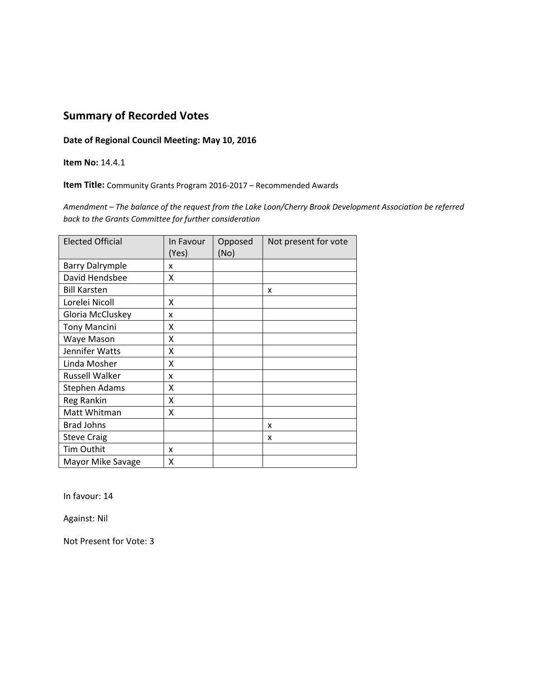#### **Date of Regional Council Meeting: May 10, 2016**

**Item No:** 14.4.1

**Item Title:** Community Grants Program 2016‐2017 – Recommended Awards

*Amendment – The balance of the request from the Lake Loon/Cherry Brook Development Association be referred back to the Grants Committee for further consideration*

| <b>Elected Official</b> | In Favour<br>(Yes) | Opposed<br>(No) | Not present for vote |
|-------------------------|--------------------|-----------------|----------------------|
| <b>Barry Dalrymple</b>  | x                  |                 |                      |
| David Hendsbee          | x                  |                 |                      |
| <b>Bill Karsten</b>     |                    |                 | X                    |
| Lorelei Nicoll          | x                  |                 |                      |
| Gloria McCluskey        | x                  |                 |                      |
| <b>Tony Mancini</b>     | χ                  |                 |                      |
| Waye Mason              | Χ                  |                 |                      |
| Jennifer Watts          | Χ                  |                 |                      |
| Linda Mosher            | X                  |                 |                      |
| <b>Russell Walker</b>   | x                  |                 |                      |
| <b>Stephen Adams</b>    | x                  |                 |                      |
| Reg Rankin              | X                  |                 |                      |
| Matt Whitman            | x                  |                 |                      |
| <b>Brad Johns</b>       |                    |                 | x                    |
| <b>Steve Craig</b>      |                    |                 | x                    |
| <b>Tim Outhit</b>       | x                  |                 |                      |
| Mayor Mike Savage       | X                  |                 |                      |

In favour: 14

Against: Nil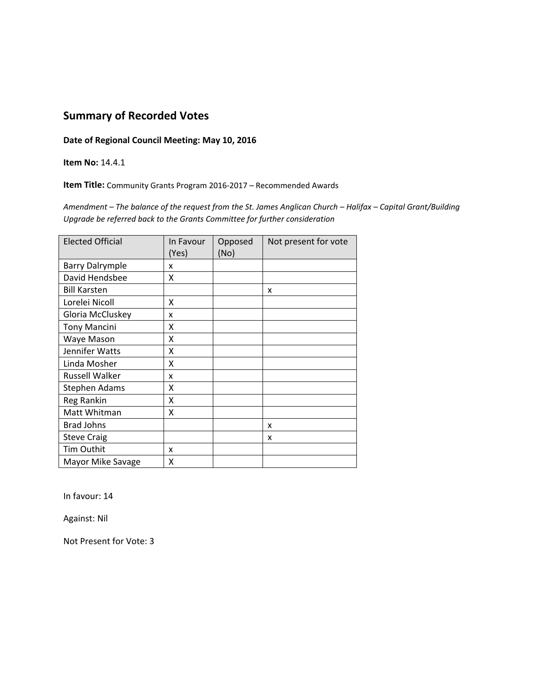**Date of Regional Council Meeting: May 10, 2016**

**Item No:** 14.4.1

**Item Title:** Community Grants Program 2016‐2017 – Recommended Awards

Amendment - The balance of the request from the St. James Anglican Church - Halifax - Capital Grant/Building *Upgrade be referred back to the Grants Committee for further consideration*

| <b>Elected Official</b> | In Favour<br>(Yes) | Opposed<br>(No) | Not present for vote |
|-------------------------|--------------------|-----------------|----------------------|
| <b>Barry Dalrymple</b>  | x                  |                 |                      |
| David Hendsbee          | x                  |                 |                      |
| <b>Bill Karsten</b>     |                    |                 | x                    |
| Lorelei Nicoll          | Χ                  |                 |                      |
| Gloria McCluskey        | x                  |                 |                      |
| <b>Tony Mancini</b>     | χ                  |                 |                      |
| Waye Mason              | χ                  |                 |                      |
| Jennifer Watts          | Χ                  |                 |                      |
| Linda Mosher            | Χ                  |                 |                      |
| <b>Russell Walker</b>   | x                  |                 |                      |
| Stephen Adams           | x                  |                 |                      |
| Reg Rankin              | X                  |                 |                      |
| Matt Whitman            | X                  |                 |                      |
| <b>Brad Johns</b>       |                    |                 | X                    |
| <b>Steve Craig</b>      |                    |                 | x                    |
| Tim Outhit              | x                  |                 |                      |
| Mayor Mike Savage       | Χ                  |                 |                      |

In favour: 14

Against: Nil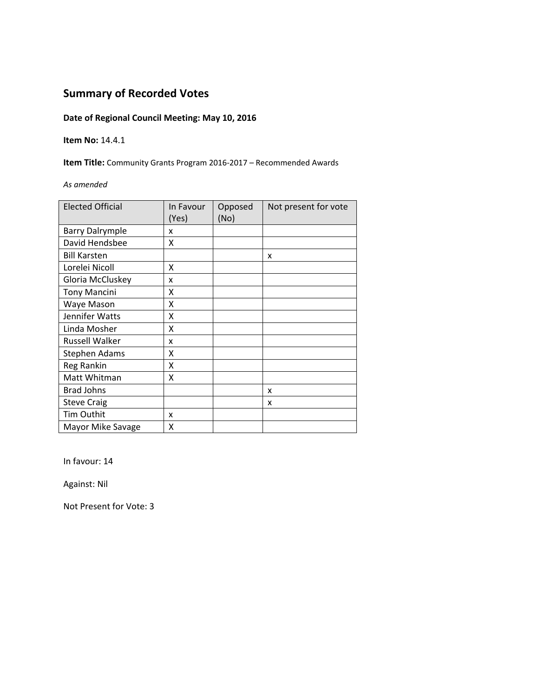### **Date of Regional Council Meeting: May 10, 2016**

#### **Item No:** 14.4.1

**Item Title:** Community Grants Program 2016‐2017 – Recommended Awards

#### *As amended*

| <b>Elected Official</b> | In Favour<br>(Yes) | Opposed<br>(No) | Not present for vote |
|-------------------------|--------------------|-----------------|----------------------|
| <b>Barry Dalrymple</b>  | x                  |                 |                      |
| David Hendsbee          | X                  |                 |                      |
| <b>Bill Karsten</b>     |                    |                 | x                    |
| Lorelei Nicoll          | X                  |                 |                      |
| Gloria McCluskey        | X                  |                 |                      |
| <b>Tony Mancini</b>     | X                  |                 |                      |
| Waye Mason              | X                  |                 |                      |
| Jennifer Watts          | X                  |                 |                      |
| Linda Mosher            | x                  |                 |                      |
| <b>Russell Walker</b>   | x                  |                 |                      |
| <b>Stephen Adams</b>    | x                  |                 |                      |
| Reg Rankin              | Χ                  |                 |                      |
| Matt Whitman            | Χ                  |                 |                      |
| <b>Brad Johns</b>       |                    |                 | x                    |
| <b>Steve Craig</b>      |                    |                 | x                    |
| Tim Outhit              | x                  |                 |                      |
| Mayor Mike Savage       | X                  |                 |                      |

In favour: 14

Against: Nil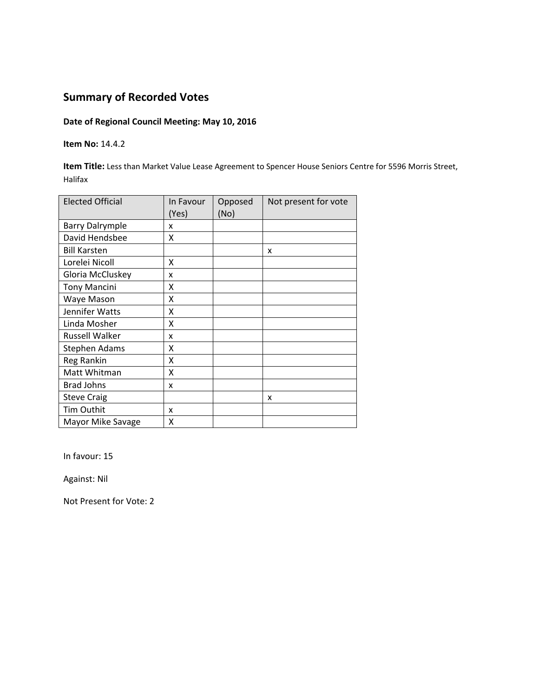#### **Date of Regional Council Meeting: May 10, 2016**

#### **Item No:** 14.4.2

**Item Title:** Less than Market Value Lease Agreement to Spencer House Seniors Centre for 5596 Morris Street, Halifax

| <b>Elected Official</b> | In Favour<br>(Yes) | Opposed<br>(No) | Not present for vote |
|-------------------------|--------------------|-----------------|----------------------|
| <b>Barry Dalrymple</b>  | x                  |                 |                      |
| David Hendsbee          | Χ                  |                 |                      |
| <b>Bill Karsten</b>     |                    |                 | x                    |
| Lorelei Nicoll          | X                  |                 |                      |
| Gloria McCluskey        | x                  |                 |                      |
| <b>Tony Mancini</b>     | X                  |                 |                      |
| Waye Mason              | X                  |                 |                      |
| Jennifer Watts          | X                  |                 |                      |
| Linda Mosher            | x                  |                 |                      |
| <b>Russell Walker</b>   | x                  |                 |                      |
| Stephen Adams           | χ                  |                 |                      |
| Reg Rankin              | X                  |                 |                      |
| Matt Whitman            | Χ                  |                 |                      |
| <b>Brad Johns</b>       | x                  |                 |                      |
| <b>Steve Craig</b>      |                    |                 | X                    |
| Tim Outhit              | x                  |                 |                      |
| Mayor Mike Savage       | x                  |                 |                      |

In favour: 15

Against: Nil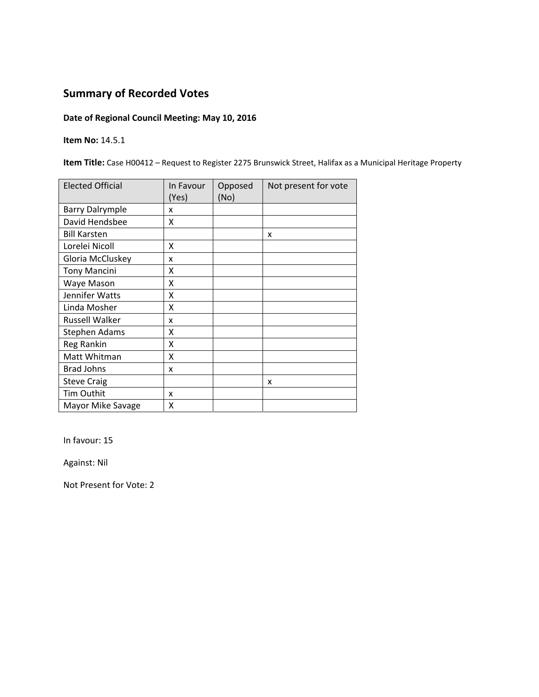### **Date of Regional Council Meeting: May 10, 2016**

**Item No:** 14.5.1

**Item Title:** Case H00412 – Request to Register 2275 Brunswick Street, Halifax as a Municipal Heritage Property

| <b>Elected Official</b> | In Favour<br>(Yes) | Opposed<br>(No) | Not present for vote |
|-------------------------|--------------------|-----------------|----------------------|
| <b>Barry Dalrymple</b>  | x                  |                 |                      |
| David Hendsbee          | x                  |                 |                      |
| <b>Bill Karsten</b>     |                    |                 | x                    |
| Lorelei Nicoll          | Χ                  |                 |                      |
| Gloria McCluskey        | x                  |                 |                      |
| <b>Tony Mancini</b>     | x                  |                 |                      |
| Waye Mason              | X                  |                 |                      |
| Jennifer Watts          | x                  |                 |                      |
| Linda Mosher            | x                  |                 |                      |
| Russell Walker          | x                  |                 |                      |
| <b>Stephen Adams</b>    | x                  |                 |                      |
| Reg Rankin              | X                  |                 |                      |
| Matt Whitman            | X                  |                 |                      |
| <b>Brad Johns</b>       | x                  |                 |                      |
| <b>Steve Craig</b>      |                    |                 | x                    |
| Tim Outhit              | x                  |                 |                      |
| Mayor Mike Savage       | Χ                  |                 |                      |

In favour: 15

Against: Nil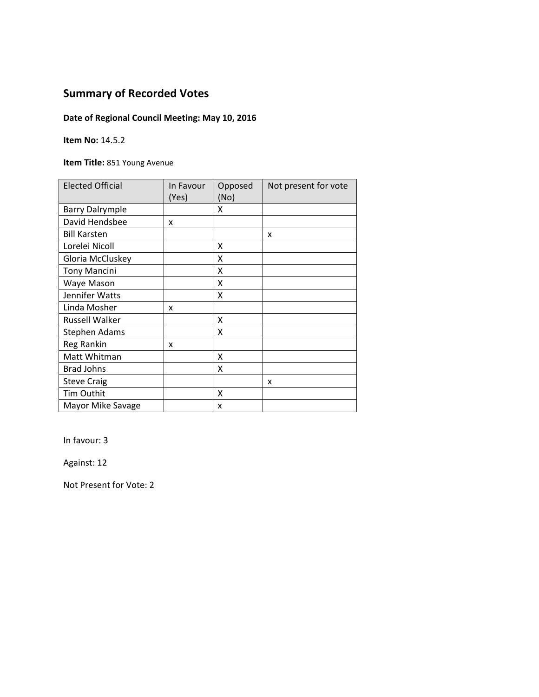## **Date of Regional Council Meeting: May 10, 2016**

#### **Item No:** 14.5.2

**Item Title:** 851 Young Avenue

| <b>Elected Official</b> | In Favour<br>(Yes) | Opposed<br>(No) | Not present for vote |
|-------------------------|--------------------|-----------------|----------------------|
| <b>Barry Dalrymple</b>  |                    | x               |                      |
| David Hendsbee          | x                  |                 |                      |
| <b>Bill Karsten</b>     |                    |                 | x                    |
| Lorelei Nicoll          |                    | X               |                      |
| Gloria McCluskey        |                    | X               |                      |
| <b>Tony Mancini</b>     |                    | x               |                      |
| Waye Mason              |                    | x               |                      |
| Jennifer Watts          |                    | x               |                      |
| Linda Mosher            | x                  |                 |                      |
| <b>Russell Walker</b>   |                    | x               |                      |
| Stephen Adams           |                    | x               |                      |
| Reg Rankin              | x                  |                 |                      |
| Matt Whitman            |                    | Χ               |                      |
| <b>Brad Johns</b>       |                    | X               |                      |
| <b>Steve Craig</b>      |                    |                 | x                    |
| <b>Tim Outhit</b>       |                    | x               |                      |
| Mayor Mike Savage       |                    | x               |                      |

In favour: 3

Against: 12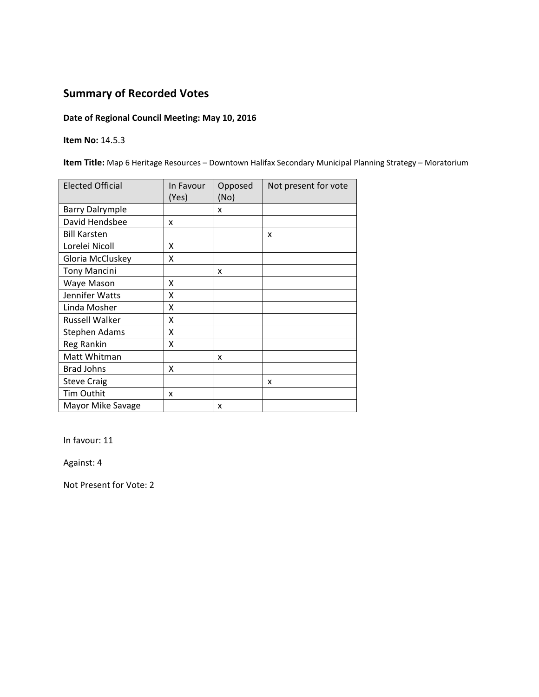### **Date of Regional Council Meeting: May 10, 2016**

**Item No:** 14.5.3

**Item Title:** Map 6 Heritage Resources – Downtown Halifax Secondary Municipal Planning Strategy – Moratorium

| <b>Elected Official</b> | In Favour<br>(Yes) | Opposed<br>(No) | Not present for vote |
|-------------------------|--------------------|-----------------|----------------------|
| <b>Barry Dalrymple</b>  |                    | x               |                      |
| David Hendsbee          | x                  |                 |                      |
| <b>Bill Karsten</b>     |                    |                 | x                    |
| Lorelei Nicoll          | x                  |                 |                      |
| Gloria McCluskey        | Χ                  |                 |                      |
| <b>Tony Mancini</b>     |                    | x               |                      |
| Waye Mason              | x                  |                 |                      |
| Jennifer Watts          | x                  |                 |                      |
| Linda Mosher            | X                  |                 |                      |
| Russell Walker          | X                  |                 |                      |
| <b>Stephen Adams</b>    | X                  |                 |                      |
| Reg Rankin              | Χ                  |                 |                      |
| Matt Whitman            |                    | x               |                      |
| <b>Brad Johns</b>       | Χ                  |                 |                      |
| <b>Steve Craig</b>      |                    |                 | X                    |
| Tim Outhit              | x                  |                 |                      |
| Mayor Mike Savage       |                    | x               |                      |

In favour: 11

Against: 4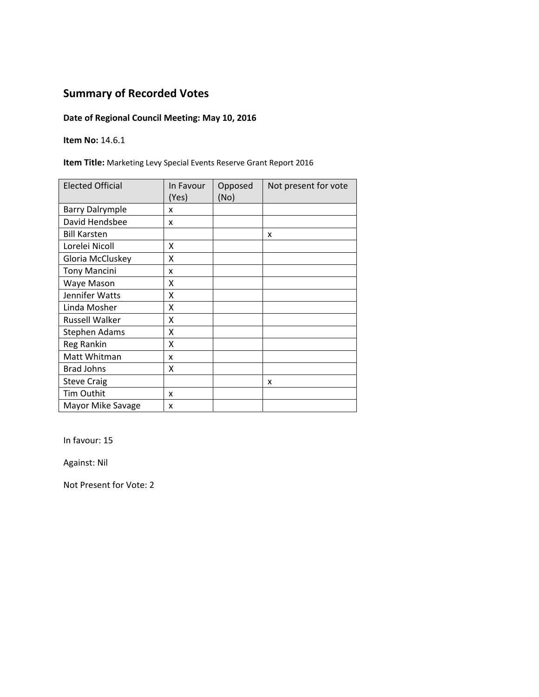## **Date of Regional Council Meeting: May 10, 2016**

**Item No:** 14.6.1

**Item Title:** Marketing Levy Special Events Reserve Grant Report 2016

| <b>Elected Official</b> | In Favour<br>(Yes) | Opposed<br>(No) | Not present for vote |
|-------------------------|--------------------|-----------------|----------------------|
| <b>Barry Dalrymple</b>  | x                  |                 |                      |
| David Hendsbee          | x                  |                 |                      |
| <b>Bill Karsten</b>     |                    |                 | X                    |
| Lorelei Nicoll          | x                  |                 |                      |
| Gloria McCluskey        | X                  |                 |                      |
| <b>Tony Mancini</b>     | x                  |                 |                      |
| Waye Mason              | x                  |                 |                      |
| Jennifer Watts          | Χ                  |                 |                      |
| Linda Mosher            | X                  |                 |                      |
| <b>Russell Walker</b>   | x                  |                 |                      |
| Stephen Adams           | X                  |                 |                      |
| <b>Reg Rankin</b>       | X                  |                 |                      |
| Matt Whitman            | x                  |                 |                      |
| <b>Brad Johns</b>       | Χ                  |                 |                      |
| <b>Steve Craig</b>      |                    |                 | x                    |
| Tim Outhit              | x                  |                 |                      |
| Mayor Mike Savage       | x                  |                 |                      |

In favour: 15

Against: Nil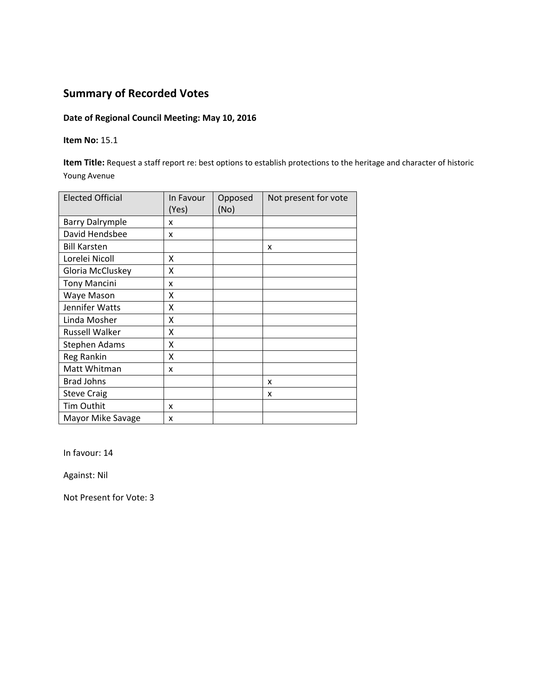### **Date of Regional Council Meeting: May 10, 2016**

#### **Item No:** 15.1

**Item Title:** Request a staff report re: best options to establish protections to the heritage and character of historic Young Avenue

| <b>Elected Official</b> | In Favour<br>(Yes) | Opposed<br>(No) | Not present for vote |
|-------------------------|--------------------|-----------------|----------------------|
| <b>Barry Dalrymple</b>  | x                  |                 |                      |
| David Hendsbee          | x                  |                 |                      |
| <b>Bill Karsten</b>     |                    |                 | X                    |
| Lorelei Nicoll          | X                  |                 |                      |
| Gloria McCluskey        | X                  |                 |                      |
| <b>Tony Mancini</b>     | x                  |                 |                      |
| Waye Mason              | χ                  |                 |                      |
| Jennifer Watts          | X                  |                 |                      |
| Linda Mosher            | X                  |                 |                      |
| <b>Russell Walker</b>   | X                  |                 |                      |
| Stephen Adams           | x                  |                 |                      |
| Reg Rankin              | X                  |                 |                      |
| Matt Whitman            | x                  |                 |                      |
| <b>Brad Johns</b>       |                    |                 | X                    |
| <b>Steve Craig</b>      |                    |                 | X                    |
| Tim Outhit              | x                  |                 |                      |
| Mayor Mike Savage       | x                  |                 |                      |

In favour: 14

Against: Nil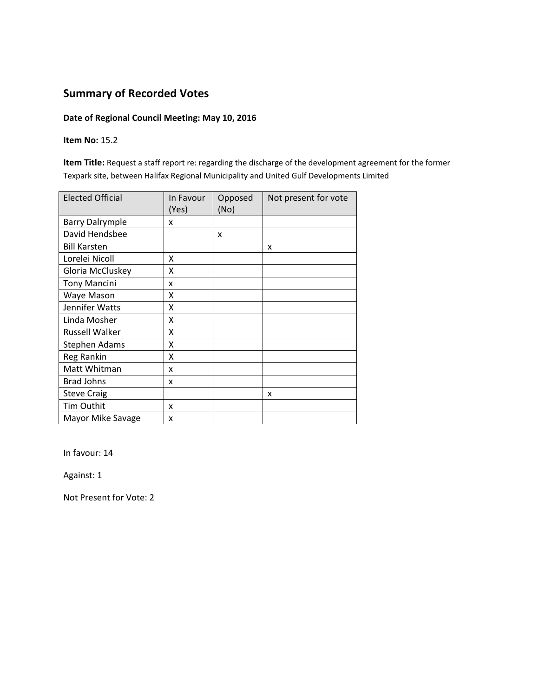### **Date of Regional Council Meeting: May 10, 2016**

#### **Item No:** 15.2

**Item Title:** Request a staff report re: regarding the discharge of the development agreement for the former Texpark site, between Halifax Regional Municipality and United Gulf Developments Limited

| <b>Elected Official</b> | In Favour<br>(Yes) | Opposed<br>(No) | Not present for vote |
|-------------------------|--------------------|-----------------|----------------------|
| <b>Barry Dalrymple</b>  | x                  |                 |                      |
| David Hendsbee          |                    | x               |                      |
| <b>Bill Karsten</b>     |                    |                 | x                    |
| Lorelei Nicoll          | X                  |                 |                      |
| Gloria McCluskey        | χ                  |                 |                      |
| <b>Tony Mancini</b>     | x                  |                 |                      |
| Waye Mason              | Χ                  |                 |                      |
| Jennifer Watts          | X                  |                 |                      |
| Linda Mosher            | X                  |                 |                      |
| <b>Russell Walker</b>   | X                  |                 |                      |
| Stephen Adams           | X                  |                 |                      |
| Reg Rankin              | X                  |                 |                      |
| Matt Whitman            | x                  |                 |                      |
| <b>Brad Johns</b>       | x                  |                 |                      |
| <b>Steve Craig</b>      |                    |                 | X                    |
| <b>Tim Outhit</b>       | x                  |                 |                      |
| Mayor Mike Savage       | x                  |                 |                      |

In favour: 14

Against: 1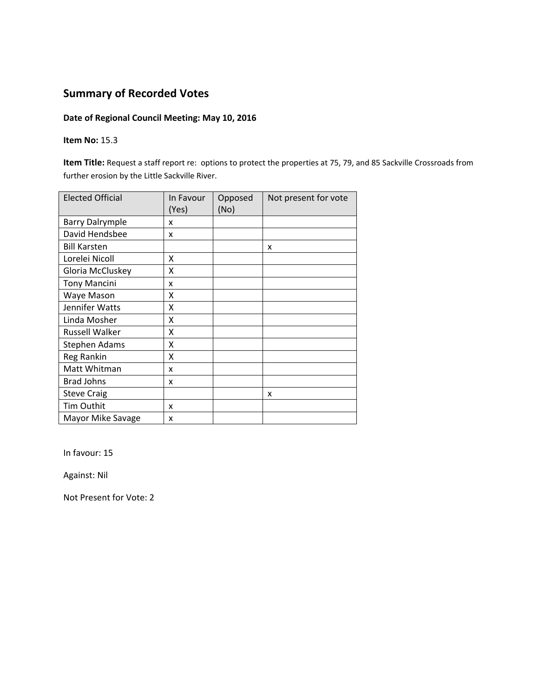### **Date of Regional Council Meeting: May 10, 2016**

#### **Item No:** 15.3

**Item Title:** Request a staff report re: options to protect the properties at 75, 79, and 85 Sackville Crossroads from further erosion by the Little Sackville River.

| <b>Elected Official</b> | In Favour<br>(Yes) | Opposed<br>(No) | Not present for vote |
|-------------------------|--------------------|-----------------|----------------------|
| <b>Barry Dalrymple</b>  | x                  |                 |                      |
| David Hendsbee          | x                  |                 |                      |
| <b>Bill Karsten</b>     |                    |                 | x                    |
| Lorelei Nicoll          | X                  |                 |                      |
| Gloria McCluskey        | x                  |                 |                      |
| <b>Tony Mancini</b>     | x                  |                 |                      |
| Waye Mason              | x                  |                 |                      |
| Jennifer Watts          | X                  |                 |                      |
| Linda Mosher            | X                  |                 |                      |
| <b>Russell Walker</b>   | X                  |                 |                      |
| <b>Stephen Adams</b>    | X                  |                 |                      |
| Reg Rankin              | X                  |                 |                      |
| Matt Whitman            | x                  |                 |                      |
| <b>Brad Johns</b>       | x                  |                 |                      |
| <b>Steve Craig</b>      |                    |                 | x                    |
| <b>Tim Outhit</b>       | x                  |                 |                      |
| Mayor Mike Savage       | x                  |                 |                      |

In favour: 15

Against: Nil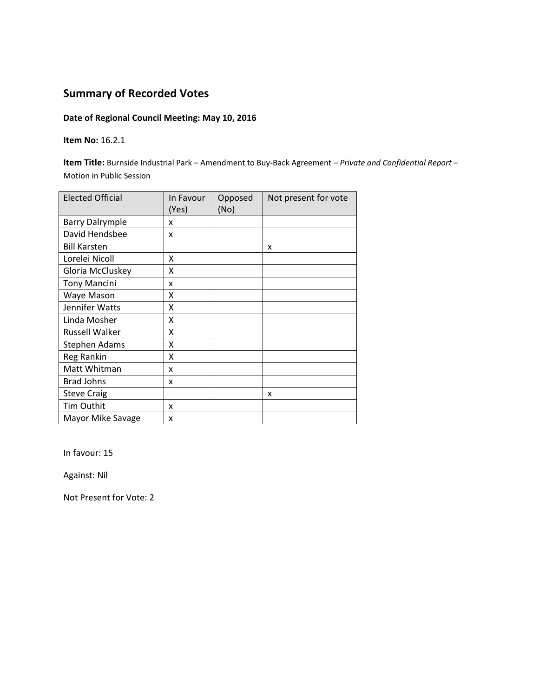### **Date of Regional Council Meeting: May 10, 2016**

#### **Item No:** 16.2.1

**Item Title:** Burnside Industrial Park – Amendment to Buy‐Back Agreement *– Private and Confidential Report –*  Motion in Public Session

| <b>Elected Official</b> | In Favour<br>(Yes) | Opposed<br>(No) | Not present for vote |
|-------------------------|--------------------|-----------------|----------------------|
| <b>Barry Dalrymple</b>  | x                  |                 |                      |
| David Hendsbee          | x                  |                 |                      |
| <b>Bill Karsten</b>     |                    |                 | X                    |
| Lorelei Nicoll          | X                  |                 |                      |
| Gloria McCluskey        | Χ                  |                 |                      |
| <b>Tony Mancini</b>     | x                  |                 |                      |
| Waye Mason              | x                  |                 |                      |
| Jennifer Watts          | X                  |                 |                      |
| Linda Mosher            | X                  |                 |                      |
| <b>Russell Walker</b>   | X                  |                 |                      |
| <b>Stephen Adams</b>    | X                  |                 |                      |
| Reg Rankin              | X                  |                 |                      |
| Matt Whitman            | x                  |                 |                      |
| <b>Brad Johns</b>       | x                  |                 |                      |
| <b>Steve Craig</b>      |                    |                 | X                    |
| <b>Tim Outhit</b>       | x                  |                 |                      |
| Mayor Mike Savage       | x                  |                 |                      |

In favour: 15

Against: Nil